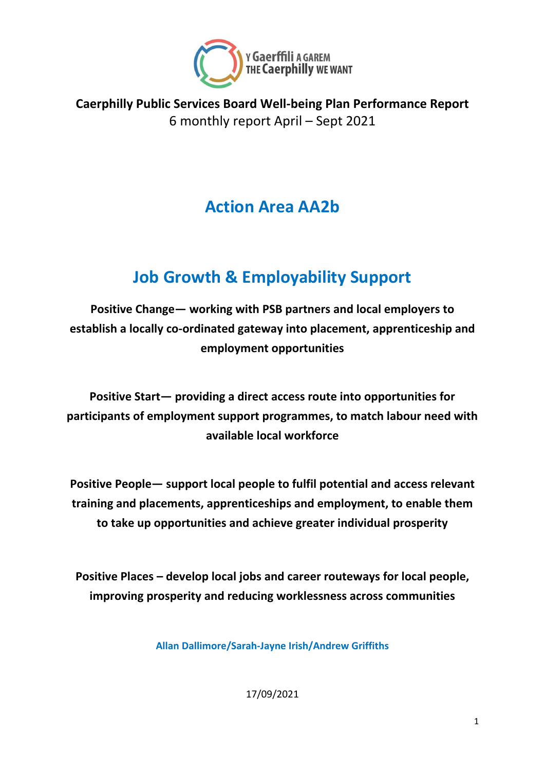

**Caerphilly Public Services Board Well-being Plan Performance Report** 6 monthly report April – Sept 2021

# **Action Area AA2b**

# **Job Growth & Employability Support**

**Positive Change— working with PSB partners and local employers to establish a locally co-ordinated gateway into placement, apprenticeship and employment opportunities**

**Positive Start— providing a direct access route into opportunities for participants of employment support programmes, to match labour need with available local workforce**

**Positive People— support local people to fulfil potential and access relevant training and placements, apprenticeships and employment, to enable them to take up opportunities and achieve greater individual prosperity**

**Positive Places – develop local jobs and career routeways for local people, improving prosperity and reducing worklessness across communities** 

**Allan Dallimore/Sarah-Jayne Irish/Andrew Griffiths**

17/09/2021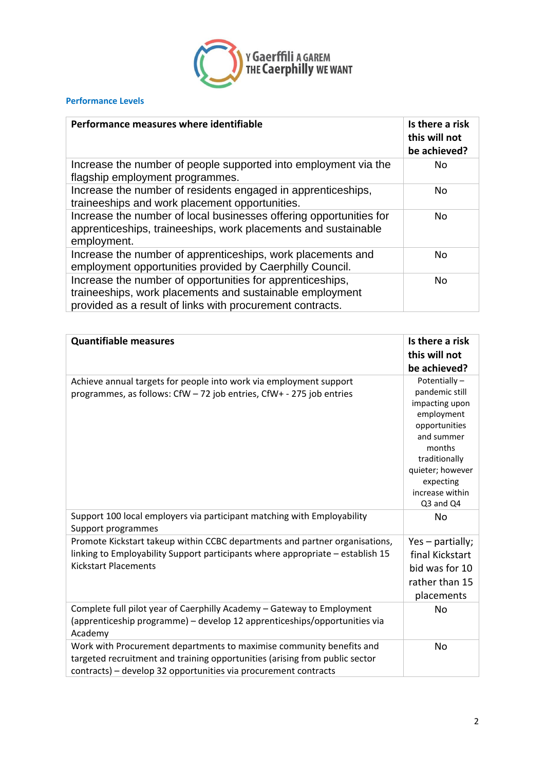

#### **Performance Levels**

| Performance measures where identifiable                                                                                                                                            | Is there a risk<br>this will not<br>be achieved? |
|------------------------------------------------------------------------------------------------------------------------------------------------------------------------------------|--------------------------------------------------|
| Increase the number of people supported into employment via the<br>flagship employment programmes.                                                                                 | No                                               |
| Increase the number of residents engaged in apprenticeships,<br>traineeships and work placement opportunities.                                                                     | No.                                              |
| Increase the number of local businesses offering opportunities for<br>apprenticeships, traineeships, work placements and sustainable<br>employment.                                | No.                                              |
| Increase the number of apprenticeships, work placements and<br>employment opportunities provided by Caerphilly Council.                                                            | No                                               |
| Increase the number of opportunities for apprenticeships,<br>traineeships, work placements and sustainable employment<br>provided as a result of links with procurement contracts. | No                                               |

| <b>Quantifiable measures</b>                                                                                                                                                                                           | Is there a risk<br>this will not<br>be achieved?                                                                                                                                          |
|------------------------------------------------------------------------------------------------------------------------------------------------------------------------------------------------------------------------|-------------------------------------------------------------------------------------------------------------------------------------------------------------------------------------------|
| Achieve annual targets for people into work via employment support<br>programmes, as follows: CfW - 72 job entries, CfW+ - 275 job entries                                                                             | Potentially-<br>pandemic still<br>impacting upon<br>employment<br>opportunities<br>and summer<br>months<br>traditionally<br>quieter; however<br>expecting<br>increase within<br>Q3 and Q4 |
| Support 100 local employers via participant matching with Employability<br>Support programmes                                                                                                                          | No                                                                                                                                                                                        |
| Promote Kickstart takeup within CCBC departments and partner organisations,<br>linking to Employability Support participants where appropriate - establish 15<br><b>Kickstart Placements</b>                           | Yes - partially;<br>final Kickstart<br>bid was for 10<br>rather than 15<br>placements                                                                                                     |
| Complete full pilot year of Caerphilly Academy - Gateway to Employment<br>(apprenticeship programme) - develop 12 apprenticeships/opportunities via<br>Academy                                                         | No                                                                                                                                                                                        |
| Work with Procurement departments to maximise community benefits and<br>targeted recruitment and training opportunities (arising from public sector<br>contracts) - develop 32 opportunities via procurement contracts | <b>No</b>                                                                                                                                                                                 |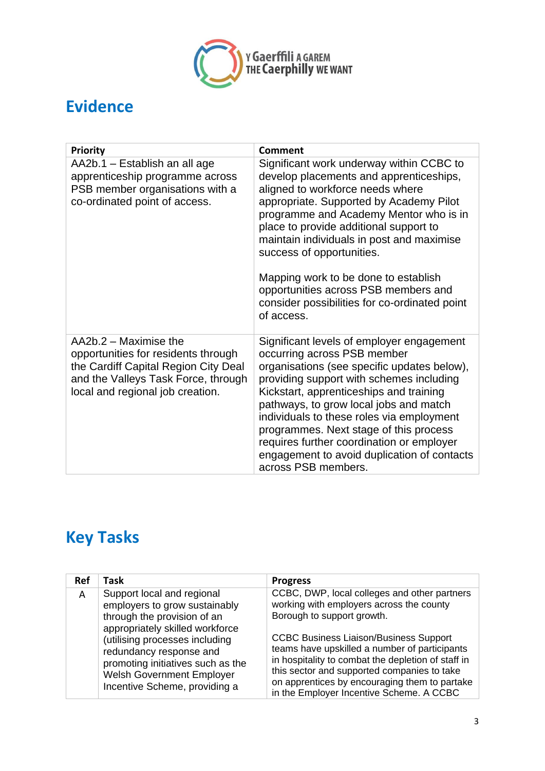

#### **Evidence**

| <b>Priority</b>                                                                                                                                                                 | <b>Comment</b>                                                                                                                                                                                                                                                                                                                                                                                                                                                                  |
|---------------------------------------------------------------------------------------------------------------------------------------------------------------------------------|---------------------------------------------------------------------------------------------------------------------------------------------------------------------------------------------------------------------------------------------------------------------------------------------------------------------------------------------------------------------------------------------------------------------------------------------------------------------------------|
| AA2b.1 – Establish an all age<br>apprenticeship programme across<br>PSB member organisations with a<br>co-ordinated point of access.                                            | Significant work underway within CCBC to<br>develop placements and apprenticeships,<br>aligned to workforce needs where<br>appropriate. Supported by Academy Pilot<br>programme and Academy Mentor who is in<br>place to provide additional support to<br>maintain individuals in post and maximise<br>success of opportunities.<br>Mapping work to be done to establish<br>opportunities across PSB members and<br>consider possibilities for co-ordinated point<br>of access. |
| AA2b.2 – Maximise the<br>opportunities for residents through<br>the Cardiff Capital Region City Deal<br>and the Valleys Task Force, through<br>local and regional job creation. | Significant levels of employer engagement<br>occurring across PSB member<br>organisations (see specific updates below),<br>providing support with schemes including<br>Kickstart, apprenticeships and training<br>pathways, to grow local jobs and match<br>individuals to these roles via employment<br>programmes. Next stage of this process<br>requires further coordination or employer<br>engagement to avoid duplication of contacts<br>across PSB members.              |

# **Key Tasks**

| Ref | Task                                                                                                                                                                | <b>Progress</b>                                                                                                                                                                                                                                                                                  |
|-----|---------------------------------------------------------------------------------------------------------------------------------------------------------------------|--------------------------------------------------------------------------------------------------------------------------------------------------------------------------------------------------------------------------------------------------------------------------------------------------|
| A   | Support local and regional<br>employers to grow sustainably<br>through the provision of an<br>appropriately skilled workforce                                       | CCBC, DWP, local colleges and other partners<br>working with employers across the county<br>Borough to support growth.                                                                                                                                                                           |
|     | (utilising processes including<br>redundancy response and<br>promoting initiatives such as the<br><b>Welsh Government Employer</b><br>Incentive Scheme, providing a | <b>CCBC Business Liaison/Business Support</b><br>teams have upskilled a number of participants<br>in hospitality to combat the depletion of staff in<br>this sector and supported companies to take<br>on apprentices by encouraging them to partake<br>in the Employer Incentive Scheme. A CCBC |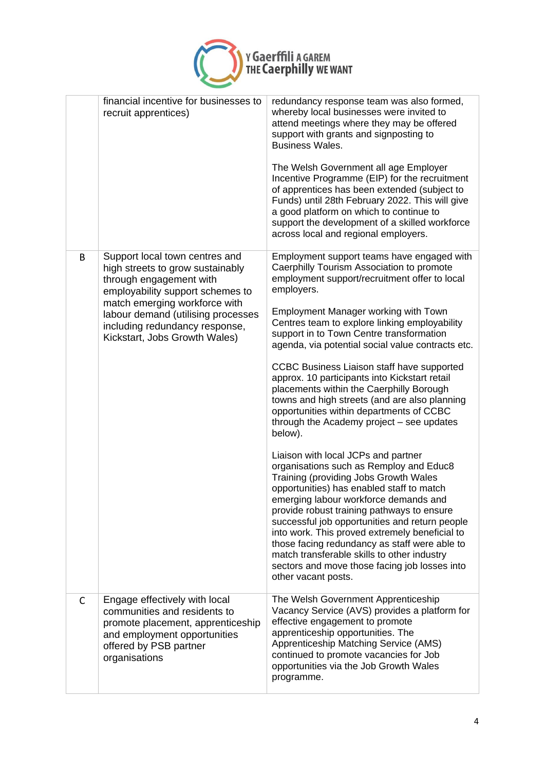

|   | financial incentive for businesses to<br>recruit apprentices)                                                                                                                                                                                                               | redundancy response team was also formed,<br>whereby local businesses were invited to<br>attend meetings where they may be offered<br>support with grants and signposting to<br><b>Business Wales.</b><br>The Welsh Government all age Employer<br>Incentive Programme (EIP) for the recruitment<br>of apprentices has been extended (subject to<br>Funds) until 28th February 2022. This will give<br>a good platform on which to continue to<br>support the development of a skilled workforce<br>across local and regional employers.                                                                                                                                                                                                                                                                                                                                                                                                                                                                                                                                                                                                                                                           |
|---|-----------------------------------------------------------------------------------------------------------------------------------------------------------------------------------------------------------------------------------------------------------------------------|----------------------------------------------------------------------------------------------------------------------------------------------------------------------------------------------------------------------------------------------------------------------------------------------------------------------------------------------------------------------------------------------------------------------------------------------------------------------------------------------------------------------------------------------------------------------------------------------------------------------------------------------------------------------------------------------------------------------------------------------------------------------------------------------------------------------------------------------------------------------------------------------------------------------------------------------------------------------------------------------------------------------------------------------------------------------------------------------------------------------------------------------------------------------------------------------------|
| B | Support local town centres and<br>high streets to grow sustainably<br>through engagement with<br>employability support schemes to<br>match emerging workforce with<br>labour demand (utilising processes<br>including redundancy response,<br>Kickstart, Jobs Growth Wales) | Employment support teams have engaged with<br>Caerphilly Tourism Association to promote<br>employment support/recruitment offer to local<br>employers.<br><b>Employment Manager working with Town</b><br>Centres team to explore linking employability<br>support in to Town Centre transformation<br>agenda, via potential social value contracts etc.<br>CCBC Business Liaison staff have supported<br>approx. 10 participants into Kickstart retail<br>placements within the Caerphilly Borough<br>towns and high streets (and are also planning<br>opportunities within departments of CCBC<br>through the Academy project - see updates<br>below).<br>Liaison with local JCPs and partner<br>organisations such as Remploy and Educ8<br>Training (providing Jobs Growth Wales<br>opportunities) has enabled staff to match<br>emerging labour workforce demands and<br>provide robust training pathways to ensure<br>successful job opportunities and return people<br>into work. This proved extremely beneficial to<br>those facing redundancy as staff were able to<br>match transferable skills to other industry<br>sectors and move those facing job losses into<br>other vacant posts. |
| C | Engage effectively with local<br>communities and residents to<br>promote placement, apprenticeship<br>and employment opportunities<br>offered by PSB partner<br>organisations                                                                                               | The Welsh Government Apprenticeship<br>Vacancy Service (AVS) provides a platform for<br>effective engagement to promote<br>apprenticeship opportunities. The<br>Apprenticeship Matching Service (AMS)<br>continued to promote vacancies for Job<br>opportunities via the Job Growth Wales<br>programme.                                                                                                                                                                                                                                                                                                                                                                                                                                                                                                                                                                                                                                                                                                                                                                                                                                                                                            |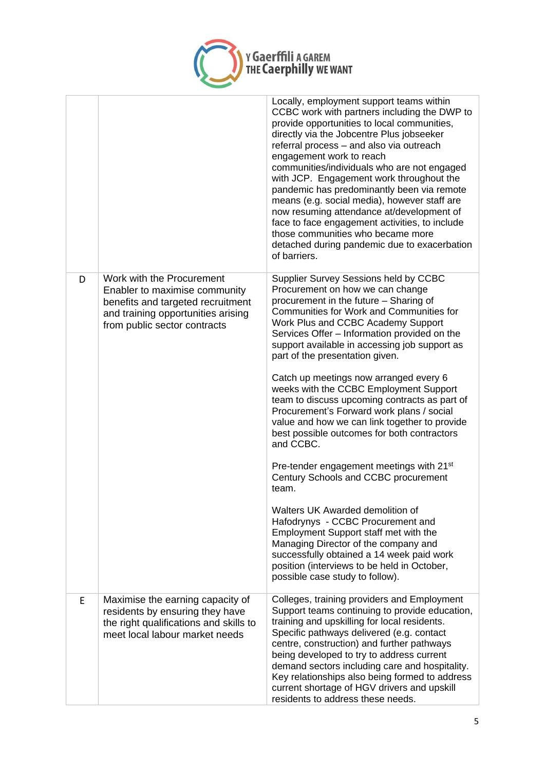

|   |                                                                                                                                                                       | Locally, employment support teams within<br>CCBC work with partners including the DWP to<br>provide opportunities to local communities,<br>directly via the Jobcentre Plus jobseeker<br>referral process - and also via outreach<br>engagement work to reach<br>communities/individuals who are not engaged<br>with JCP. Engagement work throughout the<br>pandemic has predominantly been via remote<br>means (e.g. social media), however staff are<br>now resuming attendance at/development of<br>face to face engagement activities, to include<br>those communities who became more<br>detached during pandemic due to exacerbation<br>of barriers.                                                                                                                                                                                                                                                                                                                                                                                  |
|---|-----------------------------------------------------------------------------------------------------------------------------------------------------------------------|--------------------------------------------------------------------------------------------------------------------------------------------------------------------------------------------------------------------------------------------------------------------------------------------------------------------------------------------------------------------------------------------------------------------------------------------------------------------------------------------------------------------------------------------------------------------------------------------------------------------------------------------------------------------------------------------------------------------------------------------------------------------------------------------------------------------------------------------------------------------------------------------------------------------------------------------------------------------------------------------------------------------------------------------|
| D | Work with the Procurement<br>Enabler to maximise community<br>benefits and targeted recruitment<br>and training opportunities arising<br>from public sector contracts | Supplier Survey Sessions held by CCBC<br>Procurement on how we can change<br>procurement in the future - Sharing of<br>Communities for Work and Communities for<br>Work Plus and CCBC Academy Support<br>Services Offer - Information provided on the<br>support available in accessing job support as<br>part of the presentation given.<br>Catch up meetings now arranged every 6<br>weeks with the CCBC Employment Support<br>team to discuss upcoming contracts as part of<br>Procurement's Forward work plans / social<br>value and how we can link together to provide<br>best possible outcomes for both contractors<br>and CCBC.<br>Pre-tender engagement meetings with 21 <sup>st</sup><br>Century Schools and CCBC procurement<br>team.<br>Walters UK Awarded demolition of<br>Hafodrynys - CCBC Procurement and<br>Employment Support staff met with the<br>Managing Director of the company and<br>successfully obtained a 14 week paid work<br>position (interviews to be held in October,<br>possible case study to follow). |
| E | Maximise the earning capacity of<br>residents by ensuring they have<br>the right qualifications and skills to<br>meet local labour market needs                       | Colleges, training providers and Employment<br>Support teams continuing to provide education,<br>training and upskilling for local residents.<br>Specific pathways delivered (e.g. contact<br>centre, construction) and further pathways<br>being developed to try to address current<br>demand sectors including care and hospitality.<br>Key relationships also being formed to address<br>current shortage of HGV drivers and upskill<br>residents to address these needs.                                                                                                                                                                                                                                                                                                                                                                                                                                                                                                                                                              |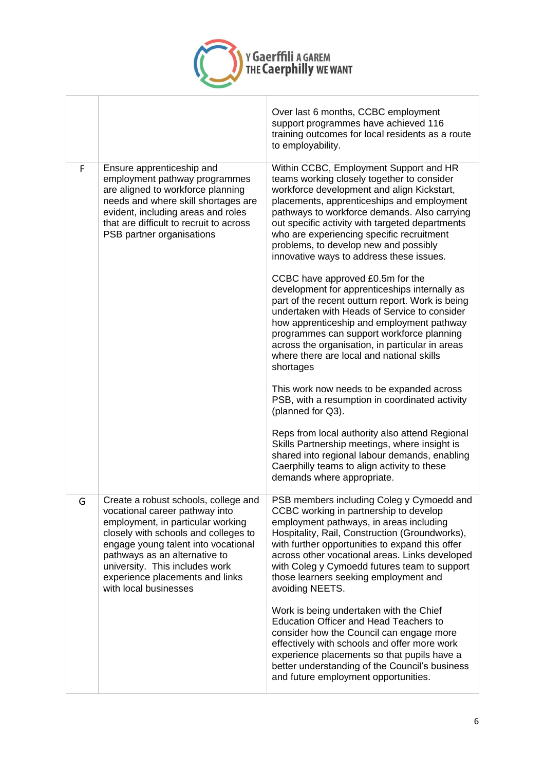

Ï

|   |                                                                                                                                                                                                                                                                                                                           | Over last 6 months, CCBC employment<br>support programmes have achieved 116<br>training outcomes for local residents as a route<br>to employability.                                                                                                                                                                                                                                                                  |
|---|---------------------------------------------------------------------------------------------------------------------------------------------------------------------------------------------------------------------------------------------------------------------------------------------------------------------------|-----------------------------------------------------------------------------------------------------------------------------------------------------------------------------------------------------------------------------------------------------------------------------------------------------------------------------------------------------------------------------------------------------------------------|
| F | Ensure apprenticeship and<br>employment pathway programmes<br>are aligned to workforce planning<br>needs and where skill shortages are<br>evident, including areas and roles<br>that are difficult to recruit to across<br>PSB partner organisations                                                                      | Within CCBC, Employment Support and HR<br>teams working closely together to consider<br>workforce development and align Kickstart,<br>placements, apprenticeships and employment<br>pathways to workforce demands. Also carrying<br>out specific activity with targeted departments<br>who are experiencing specific recruitment<br>problems, to develop new and possibly<br>innovative ways to address these issues. |
|   |                                                                                                                                                                                                                                                                                                                           | CCBC have approved £0.5m for the<br>development for apprenticeships internally as<br>part of the recent outturn report. Work is being<br>undertaken with Heads of Service to consider<br>how apprenticeship and employment pathway<br>programmes can support workforce planning<br>across the organisation, in particular in areas<br>where there are local and national skills<br>shortages                          |
|   |                                                                                                                                                                                                                                                                                                                           | This work now needs to be expanded across<br>PSB, with a resumption in coordinated activity<br>(planned for Q3).                                                                                                                                                                                                                                                                                                      |
|   |                                                                                                                                                                                                                                                                                                                           | Reps from local authority also attend Regional<br>Skills Partnership meetings, where insight is<br>shared into regional labour demands, enabling<br>Caerphilly teams to align activity to these<br>demands where appropriate.                                                                                                                                                                                         |
| G | Create a robust schools, college and<br>vocational career pathway into<br>employment, in particular working<br>closely with schools and colleges to<br>engage young talent into vocational<br>pathways as an alternative to<br>university. This includes work<br>experience placements and links<br>with local businesses | PSB members including Coleg y Cymoedd and<br>CCBC working in partnership to develop<br>employment pathways, in areas including<br>Hospitality, Rail, Construction (Groundworks),<br>with further opportunities to expand this offer<br>across other vocational areas. Links developed<br>with Coleg y Cymoedd futures team to support<br>those learners seeking employment and<br>avoiding NEETS.                     |
|   |                                                                                                                                                                                                                                                                                                                           | Work is being undertaken with the Chief<br>Education Officer and Head Teachers to<br>consider how the Council can engage more<br>effectively with schools and offer more work<br>experience placements so that pupils have a<br>better understanding of the Council's business<br>and future employment opportunities.                                                                                                |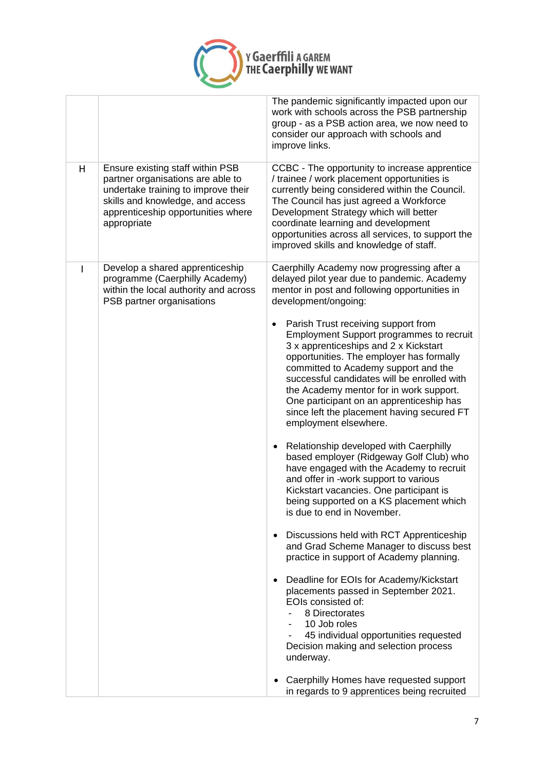

|   |                                                                                                                                                                                                       | The pandemic significantly impacted upon our<br>work with schools across the PSB partnership<br>group - as a PSB action area, we now need to<br>consider our approach with schools and<br>improve links.                                                                                                                                                                                                                                                                                                                                                                                                                                                                                                                                                                                                                                                                                                                                                                                                                                                                                                                                                                                                                    |
|---|-------------------------------------------------------------------------------------------------------------------------------------------------------------------------------------------------------|-----------------------------------------------------------------------------------------------------------------------------------------------------------------------------------------------------------------------------------------------------------------------------------------------------------------------------------------------------------------------------------------------------------------------------------------------------------------------------------------------------------------------------------------------------------------------------------------------------------------------------------------------------------------------------------------------------------------------------------------------------------------------------------------------------------------------------------------------------------------------------------------------------------------------------------------------------------------------------------------------------------------------------------------------------------------------------------------------------------------------------------------------------------------------------------------------------------------------------|
| H | Ensure existing staff within PSB<br>partner organisations are able to<br>undertake training to improve their<br>skills and knowledge, and access<br>apprenticeship opportunities where<br>appropriate | CCBC - The opportunity to increase apprentice<br>/ trainee / work placement opportunities is<br>currently being considered within the Council.<br>The Council has just agreed a Workforce<br>Development Strategy which will better<br>coordinate learning and development<br>opportunities across all services, to support the<br>improved skills and knowledge of staff.                                                                                                                                                                                                                                                                                                                                                                                                                                                                                                                                                                                                                                                                                                                                                                                                                                                  |
| I | Develop a shared apprenticeship<br>programme (Caerphilly Academy)<br>within the local authority and across<br>PSB partner organisations                                                               | Caerphilly Academy now progressing after a<br>delayed pilot year due to pandemic. Academy<br>mentor in post and following opportunities in<br>development/ongoing:<br>Parish Trust receiving support from<br><b>Employment Support programmes to recruit</b><br>3 x apprenticeships and 2 x Kickstart<br>opportunities. The employer has formally<br>committed to Academy support and the<br>successful candidates will be enrolled with<br>the Academy mentor for in work support.<br>One participant on an apprenticeship has<br>since left the placement having secured FT<br>employment elsewhere.<br>Relationship developed with Caerphilly<br>based employer (Ridgeway Golf Club) who<br>have engaged with the Academy to recruit<br>and offer in -work support to various<br>Kickstart vacancies. One participant is<br>being supported on a KS placement which<br>is due to end in November.<br>Discussions held with RCT Apprenticeship<br>and Grad Scheme Manager to discuss best<br>practice in support of Academy planning.<br>Deadline for EOIs for Academy/Kickstart<br>placements passed in September 2021.<br>EOIs consisted of:<br>8 Directorates<br>10 Job roles<br>45 individual opportunities requested |
|   |                                                                                                                                                                                                       | Decision making and selection process<br>underway.<br>Caerphilly Homes have requested support<br>in regards to 9 apprentices being recruited                                                                                                                                                                                                                                                                                                                                                                                                                                                                                                                                                                                                                                                                                                                                                                                                                                                                                                                                                                                                                                                                                |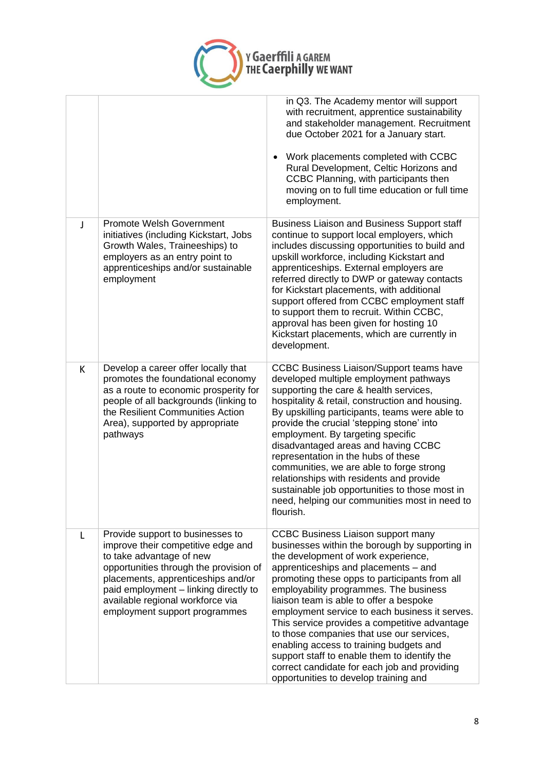

|   |                                                                                                                                                                                                                                                                                                  | in Q3. The Academy mentor will support<br>with recruitment, apprentice sustainability<br>and stakeholder management. Recruitment<br>due October 2021 for a January start.<br>Work placements completed with CCBC<br>Rural Development, Celtic Horizons and<br>CCBC Planning, with participants then<br>moving on to full time education or full time<br>employment.                                                                                                                                                                                                                                                                                  |
|---|--------------------------------------------------------------------------------------------------------------------------------------------------------------------------------------------------------------------------------------------------------------------------------------------------|------------------------------------------------------------------------------------------------------------------------------------------------------------------------------------------------------------------------------------------------------------------------------------------------------------------------------------------------------------------------------------------------------------------------------------------------------------------------------------------------------------------------------------------------------------------------------------------------------------------------------------------------------|
| J | <b>Promote Welsh Government</b><br>initiatives (including Kickstart, Jobs<br>Growth Wales, Traineeships) to<br>employers as an entry point to<br>apprenticeships and/or sustainable<br>employment                                                                                                | <b>Business Liaison and Business Support staff</b><br>continue to support local employers, which<br>includes discussing opportunities to build and<br>upskill workforce, including Kickstart and<br>apprenticeships. External employers are<br>referred directly to DWP or gateway contacts<br>for Kickstart placements, with additional<br>support offered from CCBC employment staff<br>to support them to recruit. Within CCBC,<br>approval has been given for hosting 10<br>Kickstart placements, which are currently in<br>development.                                                                                                         |
| K | Develop a career offer locally that<br>promotes the foundational economy<br>as a route to economic prosperity for<br>people of all backgrounds (linking to<br>the Resilient Communities Action<br>Area), supported by appropriate<br>pathways                                                    | <b>CCBC Business Liaison/Support teams have</b><br>developed multiple employment pathways<br>supporting the care & health services,<br>hospitality & retail, construction and housing.<br>By upskilling participants, teams were able to<br>provide the crucial 'stepping stone' into<br>employment. By targeting specific<br>disadvantaged areas and having CCBC<br>representation in the hubs of these<br>communities, we are able to forge strong<br>relationships with residents and provide<br>sustainable job opportunities to those most in<br>need, helping our communities most in need to<br>flourish.                                     |
| L | Provide support to businesses to<br>improve their competitive edge and<br>to take advantage of new<br>opportunities through the provision of<br>placements, apprenticeships and/or<br>paid employment - linking directly to<br>available regional workforce via<br>employment support programmes | <b>CCBC Business Liaison support many</b><br>businesses within the borough by supporting in<br>the development of work experience,<br>apprenticeships and placements - and<br>promoting these opps to participants from all<br>employability programmes. The business<br>liaison team is able to offer a bespoke<br>employment service to each business it serves.<br>This service provides a competitive advantage<br>to those companies that use our services,<br>enabling access to training budgets and<br>support staff to enable them to identify the<br>correct candidate for each job and providing<br>opportunities to develop training and |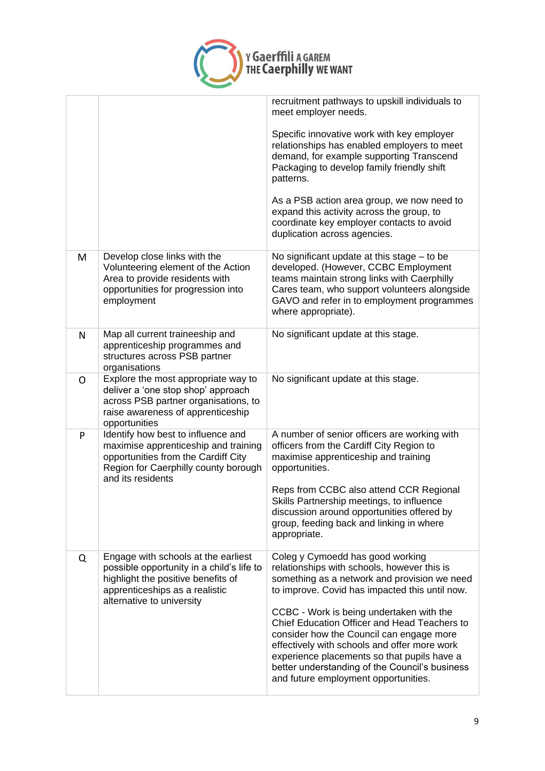

|   |                                                                                                                                                                                       | recruitment pathways to upskill individuals to<br>meet employer needs.                                                                                                                                                                                                                                                        |
|---|---------------------------------------------------------------------------------------------------------------------------------------------------------------------------------------|-------------------------------------------------------------------------------------------------------------------------------------------------------------------------------------------------------------------------------------------------------------------------------------------------------------------------------|
|   |                                                                                                                                                                                       | Specific innovative work with key employer<br>relationships has enabled employers to meet<br>demand, for example supporting Transcend<br>Packaging to develop family friendly shift<br>patterns.                                                                                                                              |
|   |                                                                                                                                                                                       | As a PSB action area group, we now need to<br>expand this activity across the group, to<br>coordinate key employer contacts to avoid<br>duplication across agencies.                                                                                                                                                          |
| M | Develop close links with the<br>Volunteering element of the Action<br>Area to provide residents with<br>opportunities for progression into<br>employment                              | No significant update at this stage $-$ to be<br>developed. (However, CCBC Employment<br>teams maintain strong links with Caerphilly<br>Cares team, who support volunteers alongside<br>GAVO and refer in to employment programmes<br>where appropriate).                                                                     |
| N | Map all current traineeship and<br>apprenticeship programmes and<br>structures across PSB partner<br>organisations                                                                    | No significant update at this stage.                                                                                                                                                                                                                                                                                          |
| O | Explore the most appropriate way to<br>deliver a 'one stop shop' approach<br>across PSB partner organisations, to<br>raise awareness of apprenticeship<br>opportunities               | No significant update at this stage.                                                                                                                                                                                                                                                                                          |
| P | Identify how best to influence and<br>maximise apprenticeship and training<br>opportunities from the Cardiff City<br>Region for Caerphilly county borough<br>and its residents        | A number of senior officers are working with<br>officers from the Cardiff City Region to<br>maximise apprenticeship and training<br>opportunities.                                                                                                                                                                            |
|   |                                                                                                                                                                                       | Reps from CCBC also attend CCR Regional<br>Skills Partnership meetings, to influence<br>discussion around opportunities offered by<br>group, feeding back and linking in where<br>appropriate.                                                                                                                                |
| Q | Engage with schools at the earliest<br>possible opportunity in a child's life to<br>highlight the positive benefits of<br>apprenticeships as a realistic<br>alternative to university | Coleg y Cymoedd has good working<br>relationships with schools, however this is<br>something as a network and provision we need<br>to improve. Covid has impacted this until now.                                                                                                                                             |
|   |                                                                                                                                                                                       | CCBC - Work is being undertaken with the<br>Chief Education Officer and Head Teachers to<br>consider how the Council can engage more<br>effectively with schools and offer more work<br>experience placements so that pupils have a<br>better understanding of the Council's business<br>and future employment opportunities. |
|   |                                                                                                                                                                                       |                                                                                                                                                                                                                                                                                                                               |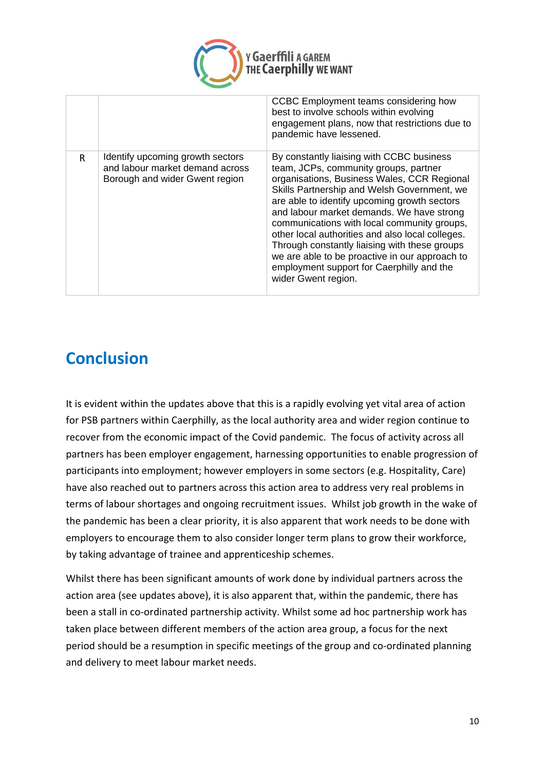

|   |                                                                                                       | CCBC Employment teams considering how<br>best to involve schools within evolving<br>engagement plans, now that restrictions due to<br>pandemic have lessened.                                                                                                                                                                                                                                                                                                                                                                                           |
|---|-------------------------------------------------------------------------------------------------------|---------------------------------------------------------------------------------------------------------------------------------------------------------------------------------------------------------------------------------------------------------------------------------------------------------------------------------------------------------------------------------------------------------------------------------------------------------------------------------------------------------------------------------------------------------|
| R | Identify upcoming growth sectors<br>and labour market demand across<br>Borough and wider Gwent region | By constantly liaising with CCBC business<br>team, JCPs, community groups, partner<br>organisations, Business Wales, CCR Regional<br>Skills Partnership and Welsh Government, we<br>are able to identify upcoming growth sectors<br>and labour market demands. We have strong<br>communications with local community groups,<br>other local authorities and also local colleges.<br>Through constantly liaising with these groups<br>we are able to be proactive in our approach to<br>employment support for Caerphilly and the<br>wider Gwent region. |

### **Conclusion**

It is evident within the updates above that this is a rapidly evolving yet vital area of action for PSB partners within Caerphilly, as the local authority area and wider region continue to recover from the economic impact of the Covid pandemic. The focus of activity across all partners has been employer engagement, harnessing opportunities to enable progression of participants into employment; however employers in some sectors (e.g. Hospitality, Care) have also reached out to partners across this action area to address very real problems in terms of labour shortages and ongoing recruitment issues. Whilst job growth in the wake of the pandemic has been a clear priority, it is also apparent that work needs to be done with employers to encourage them to also consider longer term plans to grow their workforce, by taking advantage of trainee and apprenticeship schemes.

Whilst there has been significant amounts of work done by individual partners across the action area (see updates above), it is also apparent that, within the pandemic, there has been a stall in co-ordinated partnership activity. Whilst some ad hoc partnership work has taken place between different members of the action area group, a focus for the next period should be a resumption in specific meetings of the group and co-ordinated planning and delivery to meet labour market needs.